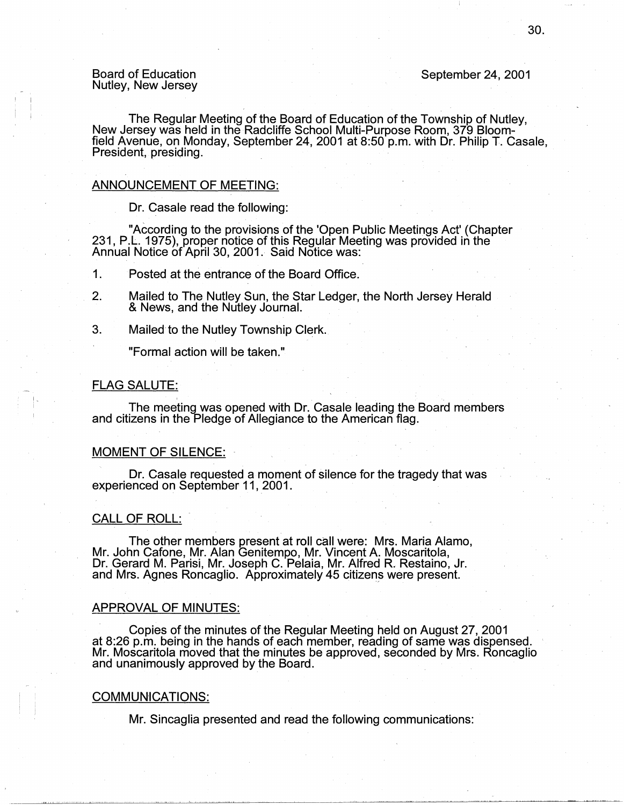Board of Education Nutley, New Jersey September 24, 2001

The Regular Meeting of the Board of Education of the Township of Nutley, New Jersey was held in the Radcliffe School Multi-Purpose Room, 379 Bloomfield Avenue, on Monday, September 24, 2001 at 8:50 p.m. with Dr. Philip T. Casale, President, presiding.

#### ANNOUNCEMENT OF MEETING:

Dr. Casale read the following:

"According to the provisions of the 'Open Public Meetings Act' (Chapter 231, P.L. 1975), proper notice of this Regular Meeting was provided in the Annual Notice of April 30, 2001. Said Notice was:

1. Posted at the entrance of the Board Office.

- 2. Mailed to The Nutley Sun, the Star Ledger, the North Jersey Herald & News, and the Nutley Journal.
- 3. Mailed to the Nutley Township Clerk.

"Formal action will be taken."

#### FLAG SALUTE:

The meeting was opened with Dr. Casale leading the Board members and citizens in the Pledge of Allegiance to the American flag.

# MOMENT OF SILENCE:

Dr. Casale requested a moment of silence for the tragedy that was experienced on September 11, 2001. .

#### CALL OF ROLL:

The other members present at roll call were: Mrs. Maria Alamo, Mr. John Catone, Mr. Alan Genitempo, Mr. Vincent A. Moscaritola, Dr. Gerard M. Parisi, Mr. Joseph C. Pelaia, Mr. Alfred R. Restaino, Jr. and Mrs. Agnes Roncaglio. Approximately 45 citizens were present.

#### APPROVAL OF MINUTES:

· Copies of the minutes of the Regular Meeting held on August 27, 2001 at 8:26 p.m. being in the hands of each member, reading of same was dispensed. Mr. Moscaritola moved that the minutes be approved, seconded by Mrs. Roncaglio and unanimously approved by the Board. .

#### COMMUNICATIONS:

Mr. Sincaglia presented and read the following communications: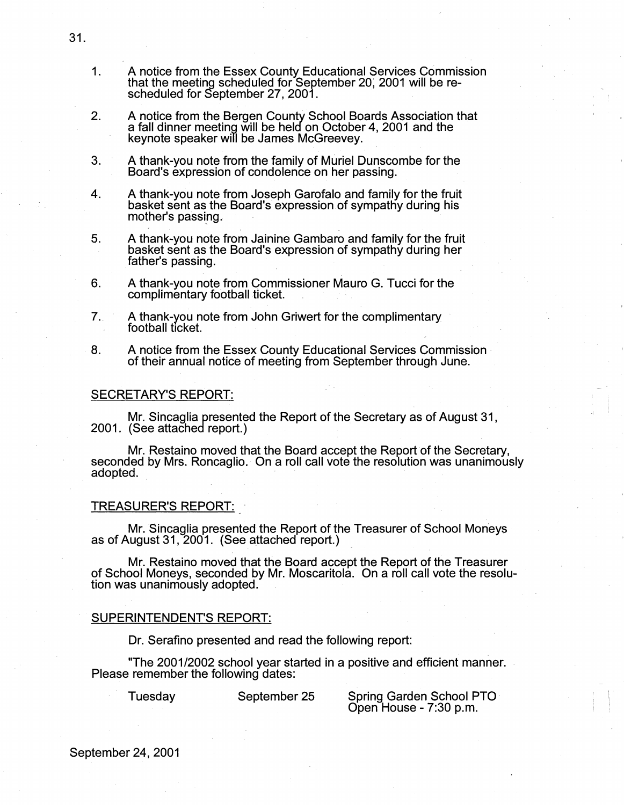- 1. A notice from the Essex County Educational Services Commission that the meeting scheduled for September 20; 2001 will be rescheduled for September 27, 2001.
- 2. A notice from the Bergen County School Boards Association that a fall dinner meeting will be held on October 4, 2001 and the keynote speaker will be James McGreevey.
- 3. A thank-you note from the family of Muriel Dunscombe for the Board's expression of condolence on her passing.
- 4. A thank-you note from Joseph Garofalo and family for the fruit basket sent as the Board's expression of sympathy during his mother's passing.
- 5. A thank-you note from Jainine Gambaro and family for the fruit basket sent as the Board's expression of sympathy during her father's passing.
- 6. A thank-you note from Commissioner Mauro G. Tucci for the complimentary football ticket. .
- 7. A thank-you note from John Griwert for the complimentary football ticket.
- 8. A notice from the Essex County Educational Services Commission· of their annual notice of meeting from September through June.

#### SECRETARY'S REPORT:

Mr. Sincaglia presented the Report of the Secretary as of August 31, 2001. (See attached report.)

Mr. Restaino moved that the Board accept the Report of the Secretary, seconded by Mrs. Roncaglio. On a roll call vote the resolution was unanimously adopted.

#### TREASURER'S REPORT:

Mr. Sincaglia presented the Report of the Treasurer of School Moneys as of August 31, 2001. (See attached report.)

Mr. Restaino moved that the Board accept the Report of the Treasurer of School Moneys, seconded by Mr. Moscaritola. On a roll call vote the resolution was unanimously adopted.

### SUPERINTENDENT'S REPORT:

Dr. Serafino presented and read the following report:

"The 2001/2002 school year started in a positive and efficient manner. Please remember the following dates:

Tuesday September 25 Spring Garden School PTO Open House - 7:30 p.m.

31.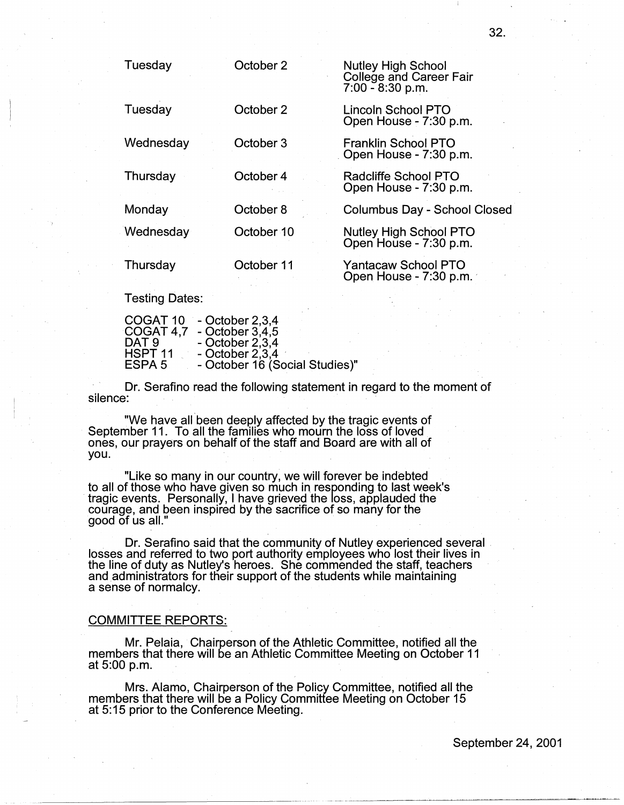| Tuesday   | October 2  | <b>Nutley High School</b><br>College and Career Fair<br>$7:00 - 8:30$ p.m. |
|-----------|------------|----------------------------------------------------------------------------|
| Tuesday   | October 2  | Lincoln School PTO<br>Open House - 7:30 p.m.                               |
| Wednesday | October 3  | Franklin School PTO<br>Open House - 7:30 p.m.                              |
| Thursday  | October 4  | Radcliffe School PTO<br>Open House - 7:30 p.m.                             |
| Monday    | October 8  | <b>Columbus Day - School Closed</b>                                        |
| Wednesday | October 10 | <b>Nutley High School PTO</b><br>Open House - 7:30 p.m.                    |
| Thursday  | October 11 | <b>Yantacaw School PTO</b><br>Open House - 7:30 p.m.                       |

Testing Dates:

| COGAT <sub>10</sub> | $-$ October 2,3,4              |
|---------------------|--------------------------------|
| COGAT 4.7           | - October $3,4,5$              |
| DAT 9               | $-$ October 2,3,4              |
| HSPT <sub>11</sub>  | $-$ October 2,3,4              |
| ESPA 5              | - October 16 (Social Studies)" |
|                     |                                |

Dr. Serafino read the following statement in regard to the moment of silence:

"We have all been deeply affected by the tragic events of September 11. To all the families who mourn the loss of loved ones, our prayers on behalf of the staff and Board are with all of you.

"Like so many in our country, we will forever be indebted to all of those who have given so much in responding to last week's iragic events. Personally, I have grieved the loss, applauded the courage, and been inspired by the sacrifice of so many for the good of us all."

Dr. Serafino said that the community of Nutley experienced several . losses and referred to two port authority employees who lost their lives in the line of duty as Nutley's heroes. She commended the staff, teachers and administrators for their support of the students while maintaining a sense of normalcy.

# COMMITTEE REPORTS:

Mr. Palaia, Chairperson of the Athletic Committee, notified all the members that there will be an Athletic Committee Meeting on October 11 at 5:00 p.m. .

Mrs. Alamo, Chairperson of the Policy Committee, notified all the members that there will be a Policy Committee Meeting on October 15 at 5:15 prior to the Conference Meeting.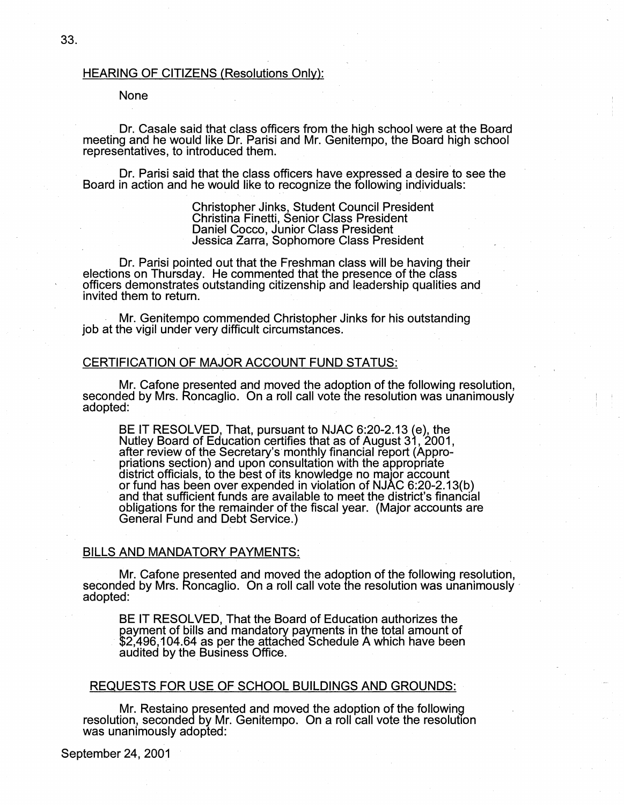### HEARING OF CITIZENS (Resolutions Only):

# None

. Dr. Casale said that class officers from the high school were at the Board meeting and he would like Dr. Parisi and Mr. Genitempo, the Board high school representatives, to introduced them.

. Dr. Parisi said that the class officers have expressed a desire to see the Board in action and he would like to recognize the following individuals:

> Christopher Jinks, Student Council President Christina Finetti, Senior Class President Daniel Cocco, Junior Class President Jessica Zarra, Sophomore Class President

Dr. Parisi pointed out that the Freshman class will be having their elections on Thursday. He commented that the presence of the crass officers demonstrates outstanding citizenship and leadership qualities and invited them to return.

. Mr. Genitempo commended Christopher Jinks for his outstanding job at the vigil under very difficult circumstances.

#### CERTIFICATION OF MAJOR ACCOUNT FUND STATUS:

Mr. Cafone presented and moved the adoption of the following resolution, seconded by Mrs. Roncaglio. On a roll call vote the resolution was unanimously adopted: .

BE IT RESOLVED, That, pursuant to NJAC 6:20-2.13 (e), the Nutley Board of Education certifies that as of August 31, 2001, after review of the Secretary's· monthly financial report (Appropriations section) and upon consultation with the appropriate district officials, to the best of its knowledge no major account or fund has been over expended in violation of NJAC 6:20-2.13(b) and that sufficient funds are available to meet the district's financial obligations for the remainder of the fiscal year. (Major accounts are General Fund and Debt Service.)

# BILLS AND MANDATORY PAYMENTS:

Mr. Cafone presented and moved the adoption of the following resolution, seconded by Mrs. Roncaglio. On a roll call vote the resolution was unanimously adopted:

BE IT RESOLVED, That the Board of Education authorizes the payment of bills and mandatory payments in the total amount of · \$2,496,104.64 as per the attached Schedule A which have been audited by the Business Office.

#### REQUESTS FOR USE OF SCHOOL BUILDINGS AND GROUNDS:

Mr. Restaino presented and moved the adoption of the following resolution, seconded by Mr. Genitempo. On a roll call vote the resolution was unanimously adopted: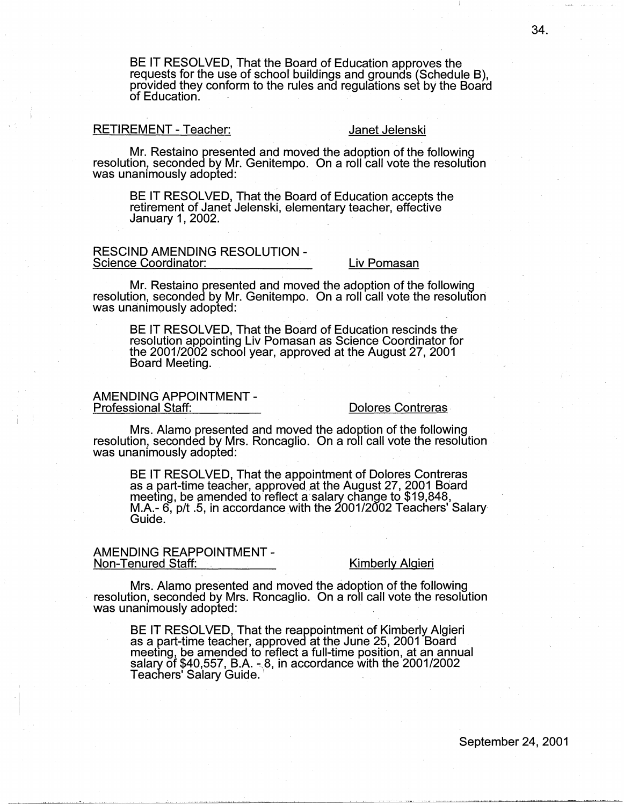BE IT RESOLVED, That the Board of Education approves the requests for the use of school buildings and grounds (Schedule B), provided they conform to the rules and regulations set by the Board<br>of Education.

# RETIREMENT - Teacher: Janet Jelenski

Mr. Restaino presented and moved the adoption of the following resolution, seconded by Mr. Genitempo. On a roll call vote the resolution was unanimously adopted:

BE IT RESOLVED, That the Board of Education accepts the retirement of Janet Jelenski, elementary teacher, effective January 1, 2002.

# RESCIND AMENDING RESOLUTION -<br>Science Coordinator: Liv Pomasan

· . Mr. Restaino presented and moved the adoption of the following resolution, seconded by Mr. Genitempo. On a roll call vote the resolution was unanimously adopted: .

BE IT RESOLVED, That the Board of Education rescinds the resolution appointing Liv Pomasan as Science Coordinator for the 2001/2002 school year, approved at the August 27, 2001 Board Meeting.

# AMENDING APPOINTMENT -<br>Professional Staff: Dolores Contreras

Mrs. Alamo presented and moved the adoption of the following resolution, seconded by Mrs. Roncaglio. On a roll call vote the resolution was unanimously adopted:

BE IT RESOLVED, That the appointment of Dolores Contreras as a part-time teacher, approved at the August 27, 2001 Board<br>meeting, be amended to reflect a salary change to \$19,848, M.A.-  $6$ ,  $p/t$ .5, in accordance with the 2001/2002 Teachers' Salary Guide.

# AMENDING REAPPOINTMENT -<br>Non-Tenured Staff: Kimberly Algieri

Mrs. Alamo presented and moved the adoption of the following resolution, seconded by Mrs. Roncaglio. On a roll call vote the resolution was unanimously adopted:

BE IT RESOLVED, That the reappointment of Kimberly Algieri as a part-time teacher, approved at the June 25, 2001 Board salary of \$40,557, B.A.  $\sim$ 8, in accordance with the 2001/2002 Teachers' Salary Guide.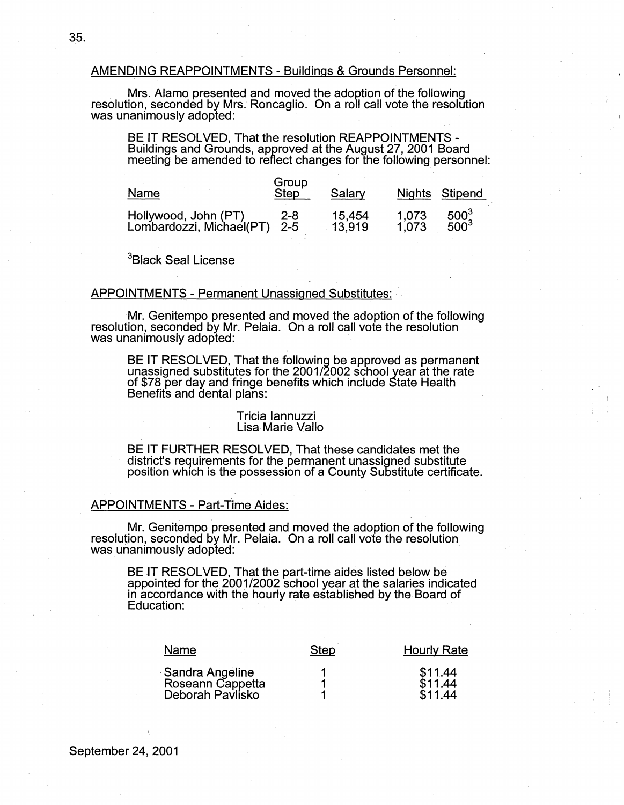### AMENDING REAPPOINTMENTS - Buildings & Grounds Personnel:

. Mrs. Alamo presented and moved the adoption of the following resolution, seconded by Mrs. Roncaglio. On a roll call vote the resolution was unanimously adopted:

BE IT RESOLVED, That the resolution REAPPOINTMENTS - Buildings and Grounds, approved at the August 27, 2001 Board meeting be amended to reflect changes for the following personnel:

| Name                                             | Group<br>Step <sup>1</sup> | Salary |       | Nights Stipend |
|--------------------------------------------------|----------------------------|--------|-------|----------------|
| Hollywood, John (PT)<br>Lombardozzi, Michael(PT) | 2-8                        | 15,454 | 1.073 | $500^{3}$      |
|                                                  | $2 - 5$                    | 13.919 | 1.073 | $500^{3}$      |

<sup>3</sup>Black Seal License

### APPOINTMENTS - Permanent Unassigned Substitutes:

Mr. Genitempo presented and moved the adoption of the following resolution, seconded by Mr. Pelaia. On a roll call vote the resolution was unanimously adopted:

BE IT RESOLVED, That the following be approved as permanent unassigned substitutes for the 2001/2002 school year at the rate<br>of \$78 per day and fringe benefits which include State Health<br>Benefits and dental plans:

#### Tricia Iannuzzi Lisa Marie Vallo

BE IT FURTHER RESOLVED, That these candidates met the district's requirements for the permanent unassigned substitute position which is the possession of a County Substitute certificate.

#### APPOINTMENTS - Part-Time Aides:

Mr. Genitempo presented and moved the adoption of the following resolution, seconded by Mr. Pelaia. On a roll call vote the resolution was unanimously adopted:

BE IT RESOLVED, That the part-time aides listed below be appointed for the 2001/2002 school year at the salaries indicated in accordance with the hourly rate established by the Board of Education:

| Name                                                    | Step | <b>Hourly Rate</b>            |
|---------------------------------------------------------|------|-------------------------------|
| Sandra Angeline<br>Roseann Cappetta<br>Deborah Pavlisko |      | \$11.44<br>\$11.44<br>\$11.44 |

 $\mathbf{I}$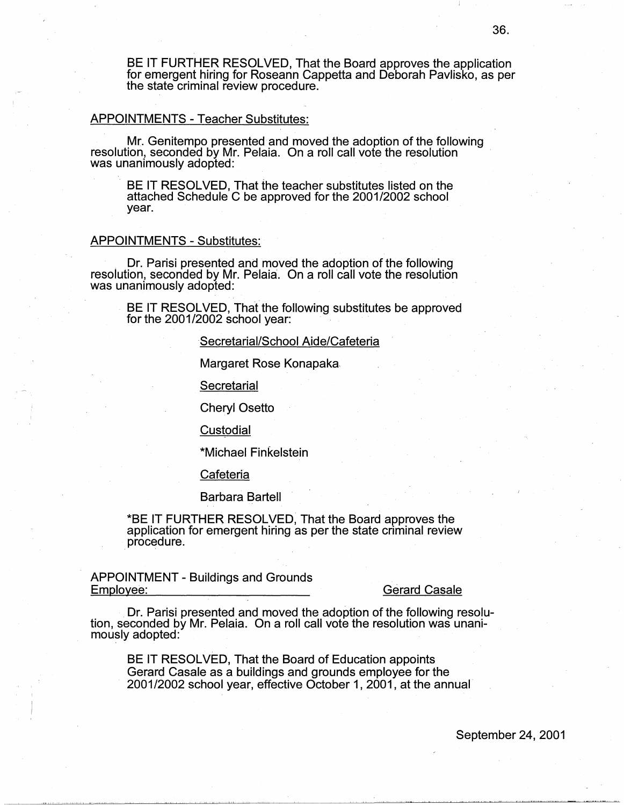BE IT FURTHER RESOLVED, That the Board approves the application for emergent hiring for Roseann Cappetta and Deborah Pavliska, as per the state criminal review procedure.

#### APPOINTMENTS - Teacher Substitutes:

Mr. Genitempo presented and moved the adoption of the following resolution, seconded by Mr. Pelaia. On a roll call vote the resolution was unanimously adopted:

BE IT RESOLVED, That the teacher substitutes listed on the attached Schedule C be approved for the 2001/2002 school year.

#### APPOINTMENTS - Substitutes:

. Dr. Parisi presented and moved the adoption of the following resolution, seconded by Mr. Pelaia. On a roll call vote the resolution was unanimously adopted:

BE IT RESOLVED, That the following substitutes be approved for the 2001/2002 school year:

### Secretarial/School Aide/Cafeteria

Margaret Rose Konapaka.

**Secretarial** 

Cheryl Osetto

**Custodial** 

\*Michael Finkelstein

Cafeteria

Barbara Bartell

\*BE IT FURTHER RESOLVED, That the Board approves the application for emergent hiring as per the state criminal review . procedure.

APPOINTMENT - Buildings and Grounds<br>Employee:

**Gerard Casale** 

Dr. Parisi presented and moved the adoption of the following resolu- tion, seconded by Mr. Pelaia. On a roll call vote the resolution was unanimously adopted:

BE IT RESOLVED, That the Board of Education appoints Gerard Casale as a buildings and grounds employee for the 2001/2002 school year, effective October 1, 2001, at the annual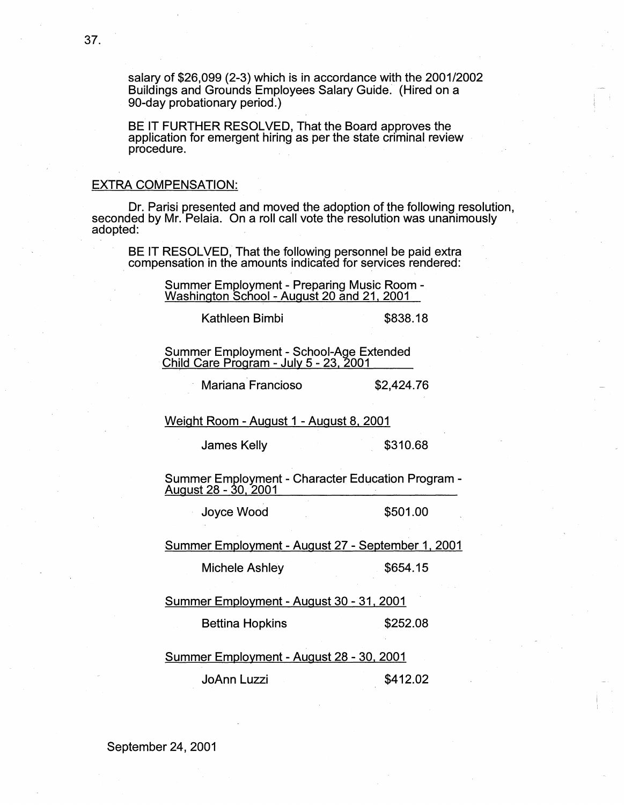salary of \$26,099 (2-3) which is in accordance with the 2001/2002 Buildings and Grounds Employees Salary Guide. (Hired on a 90-day probationary period.)

BE IT FURTHER RESOLVED, That the Board approves the application for emergent hiring as per the state criminal review procedure.

## EXTRA COMPENSATION:

Dr. Parisi presented and moved the adoption of the following resolution, seconded by Mr. Pelaia. On a roll call vote the resolution was unanimously adopted:

BE IT RESOLVED, That the following personnel be paid extra . compensation in the amounts indicated for services rendered:

Summer Employment - Preparing Music Room -<br>Washington School - August 20 and 21, 2001

Kathleen Bimbi **\$838.18** 

Summer Employment - School-Age Extended<br>Child Care Program - July 5 - 23, 2001

Mariana Francioso  $$2,424.76$ 

Weight Room - August 1 - August 8, 2001

James Kelly **\$310.68** 

Summer Employment - Character Education Program -<br>August 28 - 30, 2001

Joyce Wood \$501.00

Summer Employment - August 27 - September 1, 2001

Michele Ashley \$654.15

Summer Employment - August 30 - 31, 2001

Bettina Hopkins **\$252.08** 

Summer Employment - August 28 - 30, 2001

JoAnn Luzzi \$412.02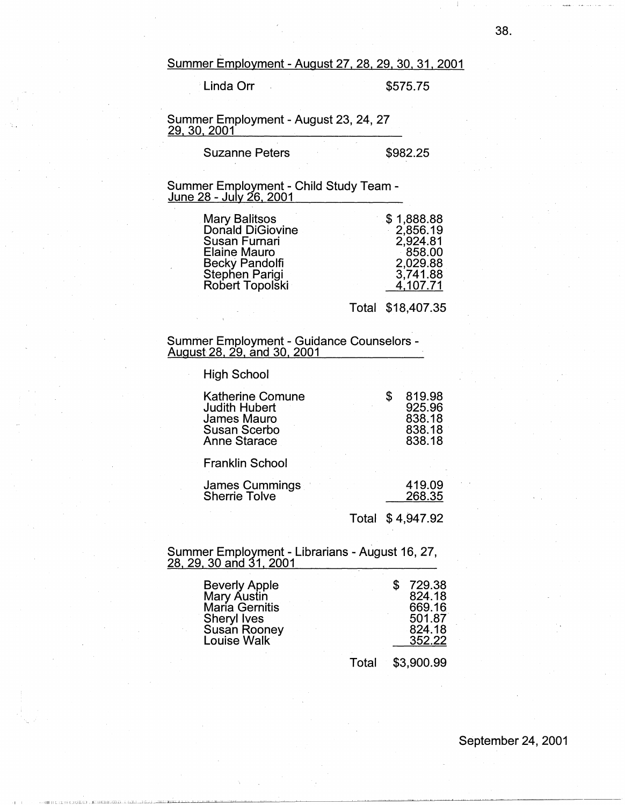Summer Employment - August 27, 28, 29, 30, 31, 2001

Linda Orr \$575.75

# Summer Employment - August 23, 24, 27 <u>29, 30, 2001 </u>

Suzanne Peters \$982.25

# Summer Employment - Child Study Team - June 28 - July 26, 2001

| \$1,888.88<br><b>Mary Balitsos</b><br>Donald DiGiovine<br>Susan Furnari<br><b>Elaine Mauro</b><br>Becky Pandolfi<br>Stephen Parigi<br>Robert Topolski | 2,856.19<br>2,924.81<br>858.00<br>2,029.88<br>3,741.88<br>4,107.71 |
|-------------------------------------------------------------------------------------------------------------------------------------------------------|--------------------------------------------------------------------|
|                                                                                                                                                       |                                                                    |

Total \$18,407.35

### Summer Employment - Guidance Counselors - August 28, 29, and 30, 2001 **·** *August 28, 29, and 30, 2001*

High School

| <b>Katherine Comune</b><br><b>Judith Hubert</b><br><b>James Mauro</b><br><b>Susan Scerbo</b><br><b>Anne Starace</b> |       | 819.98<br>925.96<br>838.18<br>838.18<br>838.18 |
|---------------------------------------------------------------------------------------------------------------------|-------|------------------------------------------------|
| <b>Franklin School</b>                                                                                              |       |                                                |
| James Cummings<br><b>Sherrie Tolve</b>                                                                              |       | 419.09<br>268.35                               |
|                                                                                                                     | Total | \$4,947.92                                     |

### Summer Employment - Librarians - August 16, 27, 28, 29, 30 and 31, 2001

| Beverly Apple<br>Mary Austin<br>María Gernitis<br>Sheryl Ives<br><b>Susan Rooney</b><br><b>Louise Walk</b> |       | 729.38<br>824.18<br>669.16<br>501.87<br>824.18<br>352.22 |
|------------------------------------------------------------------------------------------------------------|-------|----------------------------------------------------------|
|                                                                                                            | Total | \$3,900.99                                               |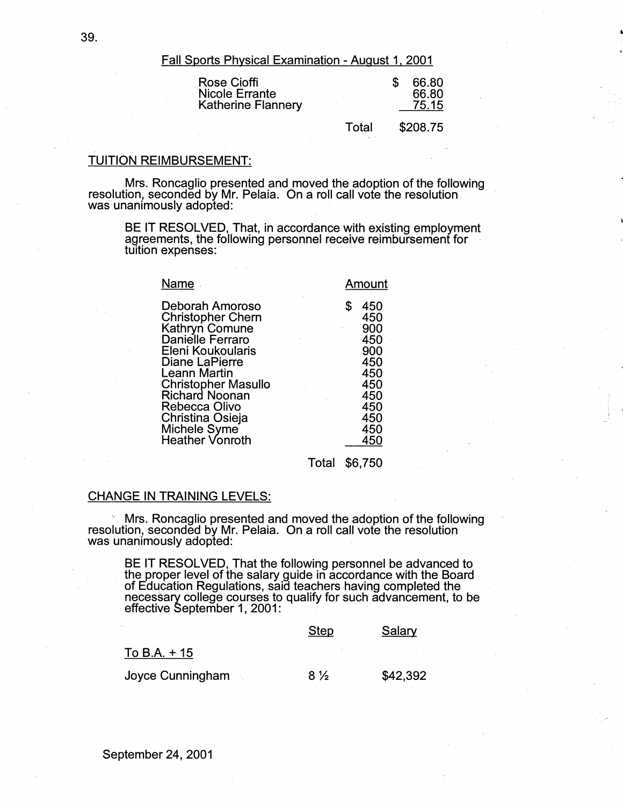Fall Sports Physical Examination - August 1, 2001

| <b>Rose Cioffi</b><br>Nicole Errante<br><b>Katherine Flannery</b> |       | 66.80<br>66.80<br>75.15 |  |
|-------------------------------------------------------------------|-------|-------------------------|--|
|                                                                   | Total | \$208.75                |  |

### TUITION REIMBURSEMENT:

Mrs. Roncaglio presented and moved the adoption of the following resolution, seconded by Mr. Pelaia. On a roll call vote the resolution was unanimously adopted:

BE IT RESOLVED, That, in accordance with existing employment agreements, the following personnel receive reimbursement for tuition expenses:

| Name                                                                                                                                                                                                                                                                                       | Amount                                                                                  |
|--------------------------------------------------------------------------------------------------------------------------------------------------------------------------------------------------------------------------------------------------------------------------------------------|-----------------------------------------------------------------------------------------|
| Deborah Amoroso<br>S<br><b>Christopher Chern</b><br>Kathryn Comune<br>Danielle Ferraro<br>Eleni Koukoularis<br>Diane LaPierre<br><b>Leann Martin</b><br><b>Christopher Masullo</b><br><b>Richard Noonan</b><br>Rebecca Olivo<br>Christina Osieja<br>Michele Syme<br><b>Heather Vonroth</b> | 450<br>450<br>900<br>450<br>900<br>450<br>450<br>450<br>450<br>450<br>450<br>450<br>450 |

Total \$6,750

## CHANGE IN TRAINING LEVELS:

' Mrs. Roncaglio presented and moved the adoption of the following resolution, seconded by Mr. Pelaia. On a roll call vote the resolution was unanimously adopted:

BE IT RESOLVED, That the following personnel be advanced to . the proper level of the salary guide in accordance with the Board necessary college courses to qualify for such advancement, to be effective September 1, 2001:

|                  | Step           | Salary   |
|------------------|----------------|----------|
| To B.A. $+15$    |                |          |
| Joyce Cunningham | $8\frac{1}{2}$ | \$42,392 |

39.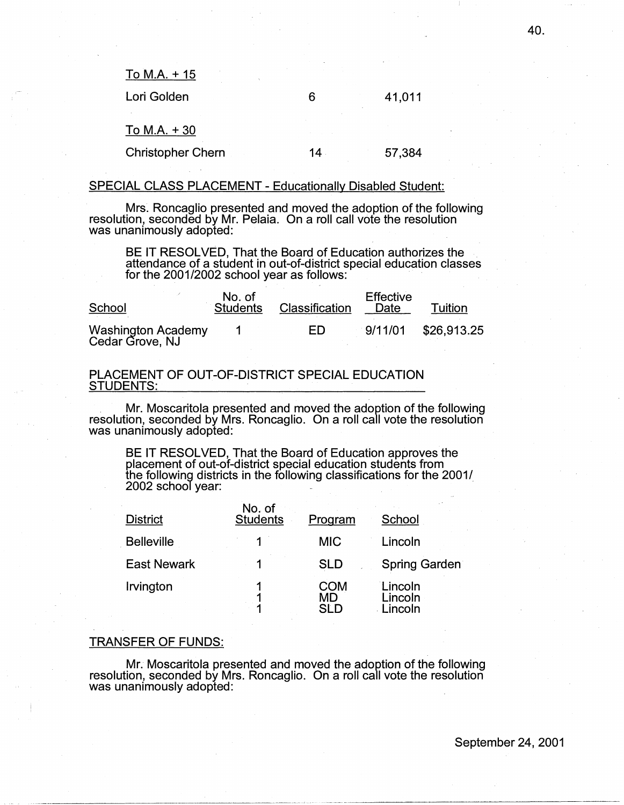To M.A.+ 15

Lori Golden

6

14

To M.A.+ 30

Christopher Chern

57,384

41,011

# SPECIAL CLASS PLACEMENT - Educationally Disabled Student:

Mrs. Roncaglio presented and moved the adoption of the following resolution, seconded by Mr. Pelaia. On a roll call vote the resolution was unanimously adopted:

BE IT RESOLVED, That the Board of Education authorizes the attendance of a student in out-of-district special education classes for the 2001/2002 school year as follows:

| School                                | No. of<br><b>Students</b> | Classification | <b>Effective</b><br>Date | Tuition     |
|---------------------------------------|---------------------------|----------------|--------------------------|-------------|
| Washington Academy<br>Cedar Grove, NJ |                           | ED             | 9/11/01                  | \$26,913.25 |

# PLACEMENT OF OUT-OF-DISTRICT SPECIAL EDUCATION STUDENTS:

. Mr. Moscaritola presented and moved the adoption of the following resolution, seconded by Mrs. Roncaglio. On a roll call vote the resolution was unanimously adopted:

BE IT RESOLVED, That the Board of Education approves the placement of out-of-district special education students from the following districts in the following classifications for the 2001/  $2002$  school year:

| <b>District</b>    | No. of<br><b>Students</b> | Program                 | School                        |
|--------------------|---------------------------|-------------------------|-------------------------------|
| <b>Belleville</b>  | 1                         | <b>MIC</b>              | Lincoln                       |
| <b>East Newark</b> |                           | <b>SLD</b>              | <b>Spring Garden</b>          |
| Irvington          |                           | COM<br>MD<br><b>SLD</b> | Lincoln<br>Lincoln<br>.incoln |

# TRANSFER OF FUNDS:

Mr. Moscaritola presented and moved the adoption of the following resolution, seconded by Mrs. Roncaglio. On a roll call vote the resolution was unanimously adopted:

40.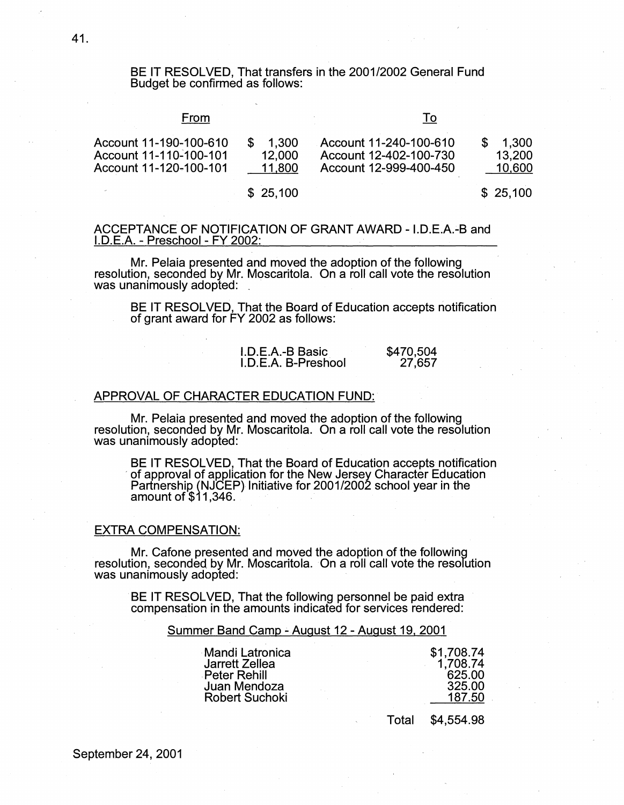# BE IT RESOLVED, That transfers in the 2001/2002 General Fund Budget be confirmed as follows:

### From

#### To

| Account 11-190-100-610 | 1.300  | Account 11-240-100-610 | 1.300  |
|------------------------|--------|------------------------|--------|
| Account 11-110-100-101 | 12,000 | Account 12-402-100-730 | 13,200 |
| Account 11-120-100-101 | 11.800 | Account 12-999-400-450 | 10.600 |
|                        |        |                        |        |

\$ 25,100

\$ 25,100

# ACCEPTANCE OF NOTIFICATION OF GRANT AWARD - I.D.E.A.-B and I.D.E.A. - Preschool - FY 2002:

Mr. Pelaia presented and moved the adoption of the following resolution, seconded by Mr. Moscaritola. On a roll call vote the resolution was unanimously adopted:

BE IT RESOLVED, That the Board of Education accepts notification of grant award for FY 2002 as follows:

| I.D.E.A.-B Basic    | \$470,504 |
|---------------------|-----------|
| I.D.E.A. B-Preshool | 27,657    |

#### APPROVAL OF CHARACTER EDUCATION FUND:

Mr. Pelaia presented and moved the adoption of the following resolution, seconded by Mr. Moscaritola. On a roll call vote the resolution was unanimously adopted:

BE IT RESOLVED, That the Board of Education accepts notification<br>of approval of application for the New Jersey Character Education , of approval of application for the New Jersey Character Education Partnership (NJCEP) Initiative for 2001/2002 school year in the amount of \$11,346. ·· .

#### EXTRA COMPENSATION:

Mr. Cafone presented and moved the adoption of the following resolution, seconded, by Mr. Moscaritola. On a roll call vote the resolution was unanimously adopted:

BE IT RESOLVED, That the following personnel be paid extra compensation in the amounts indicated for services rendered:

#### Summer Band Camp - August 12 - August 19, 2001

| Mandi Latronica       | \$1,708.74 |
|-----------------------|------------|
| Jarrett Zellea        | 1,708.74   |
| Peter Rehill          | 625.00     |
| Juan Mendoza          | 325.00     |
| <b>Robert Suchoki</b> | 187.50     |

Total \$4,554.98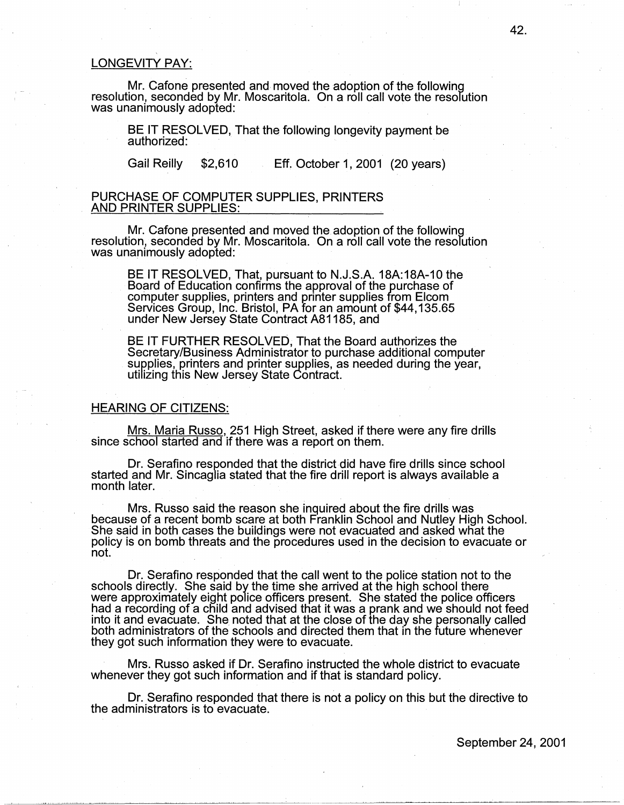# LONGEVITY PAY:

Mr. Cafone presented and moved the adoption of the following resolution, seconded by Mr. Moscaritola. On a roll call vote the resolution was unanimously adopted:

BE IT RESOLVED, That the following longevity payment be authorized:

Gail Reilly \$2,610 Eff. October 1, 2001 (20 years)

### PURCHASE OF COMPUTER SUPPLIES, PRINTERS <u>AND PRINTER SUPPLIES:</u>

Mr. Cafone presented and moved the adoption of the following resolution, seconded by Mr. Moscaritola. On a roll call vote the resolution was unanimously adopted:

BE IT RESOLVED, That, pursuant to N.J.S.A. 18A:18A-10 the Board of Education confirms the approval of the purchase of computer supplies, printers and printer supplies from Eleam Services Group, Inc. Bristol, PA for an amount of \$44,135.65 under New Jersey State Contract AB 1185, and

BE IT FURTHER RESOLVED, That the Board authorizes the Secretary/Business Administrator to purchase additional computer supplies, printers and printer supplies, as needed during the year, utilizing this New Jersey State Contract.

### HEARING OF CITIZENS:

Mrs. Maria Russo, 251 High Street, asked if there were any fire drills since school started and if there was a report on them.

Dr. Serafino responded that the district did have fire drills since school started and Mr. Sincaglia stated that the fire drill report is always available a month later.

Mrs. Russo said the reason she inquired about the fire drills was because of a recent bomb scare at both Franklin School and Nutley High School. She said in both cases the buildings were not evacuated and asked what the policy is on bomb threats and the procedures used in the decision to evacuate or not.

Dr. Serafino responded that the call went to the police station not to the schools directly. She said by the time she arrived at the high school there were approximately eight police officers present. She stated the police officers had a recording of a child and advised that it was a prank and we should not feed into it and evacuate. She noted that at the close of the day she personally called both administrators of the schools and directed them that in the future whenever they got such information they were to evacuate.

Mrs. Russo asked if Dr. Serafino instructed the whole district to evacuate whenever they got such information and if that is standard policy.

Dr. Serafino responded that there is not a policy on this but the directive to the administrators is to evacuate.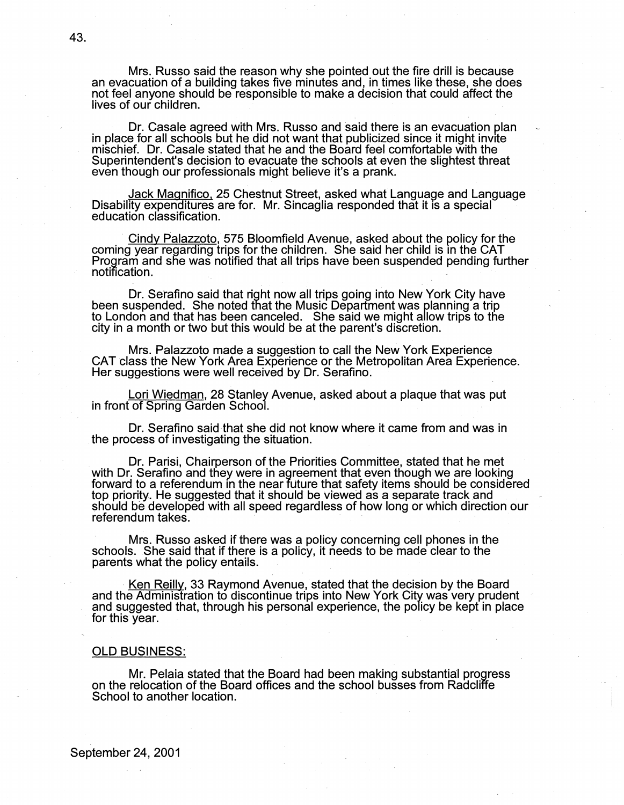Mrs. Russo said the reason why she pointed out the fire drill is because an evacuation of a building takes five minutes and, in times like these, she does not feel anyone should be responsible to make a decision that could affect the lives of our children.

Dr. Casale agreed with Mrs. Russo and said there is an evacuation plan in place for all schools but he did not want that publicized since it might invite mischief. Dr. Casale stated that he and the Board feel comfortable with the Superintendent's decision to evacuate the schools at even the slightest threat even though our professionals might believe it's a prank.

Jack Magnifico, 25 Chestnut Street, asked what Language and Language Disability expenditures are for. Mr. Sincaglia responded that it is a special education classification.

Cindy Palazzoto, 575 Bloomfield Avenue, asked about the policy for the coming year regarding trips for the children. She said her child is m the CAT Program and she was notified that all trips have been suspended pending further notification. .

Dr. Serafino said that right now all trips going into New York \_City haye been suspended. She noted that the Music Department was planning a trip to London and that has been canceled. She said we might allow trips to the city in a month or two but this would be at the parent's discretion.

Mrs. Palazzoto made a suggestion to call the New York Experience CAT class the New York Area Experience or the Metropolitan Area Experience. Her suggestions were well received by Dr. Serafino.

Lori Wiedman, 28 Stanley Avenue, asked about a plaque that was put in front of Spring Garden School.

Dr. Serafino said that she did not know where it came from and was in the process of investigating the situation.

Dr. Parisi, Chairperson of the Priorities Committee, stated that he met with Dr. Serafino and they were in agreement that even though we are looking forward to a referendum in the near future that safety items should be considered top priority. He suggested that it should be viewed as a separate track and should be developed with all speed regardless of how long or which direction our referendum takes.

Mrs. Russo asked if there was a policy concerning cell phones in the schools. She said that if there is a policy, it needs to be made clear to the parents what the policy entails.

Ken Reilly, 33 Raymond Avenue, stated that the decision by the Board<br>and the Administration to discontinue trips into New York City was very prudent and suggested that, through his personal experience, the policy be kept in place for this year.

#### OLD BUSINESS:

Mr. Pelaia stated that the Board had been making substantial progress on the relocation of the Board offices and the school busses from Radcliffe School to another location.